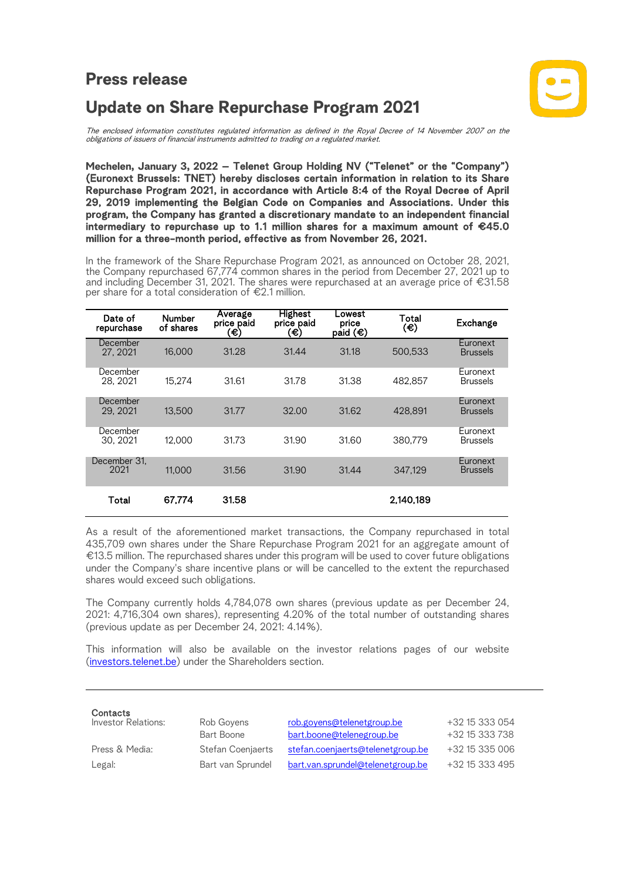## **Press release**

Ι



## **Update on Share Repurchase Program 2021**

The enclosed information constitutes regulated information as defined in the Royal Decree of 14 November 2007 on the<br>obligations of issuers of financial instruments admitted to trading on a regulated market.

**Mechelen, January 3, 2022** – Telenet Group Holding NV ("Telenet" or the "Company") (Euronext Brussels: TNET) hereby discloses certain information in relation to its Share Repurchase Program 2021, in accordance with Article 8:4 of the Royal Decree of April 29, 2019 implementing the Belgian Code on Companies and Associations. Under this program, the Company has granted a discretionary mandate to an independent financial intermediary to repurchase up to 1.1 million shares for a maximum amount of  $€45.0$ million for a three-month period, effective as from November 26, 2021.

In the framework of the Share Repurchase Program 2021, as announced on October 28, 2021,<br>the Company repurchased 67,774 common shares in the period from December 27, 2021 up to and including December 31, 2021. The shares were repurchased at an average price of €31.58 per share for a total consideration of €2.1 million.

| Date of<br>repurchase | <b>Number</b><br>of shares | Average<br>price paid<br>(€ | <b>Highest</b><br>price paid<br>(€) | Lowest<br>price<br>paid $(\epsilon)$ | Total<br>(€) | Exchange                    |
|-----------------------|----------------------------|-----------------------------|-------------------------------------|--------------------------------------|--------------|-----------------------------|
| December<br>27, 2021  | 16,000                     | 31.28                       | 31.44                               | 31.18                                | 500.533      | Euronext<br><b>Brussels</b> |
| December<br>28.2021   | 15.274                     | 31.61                       | 31.78                               | 31.38                                | 482.857      | Euronext<br><b>Brussels</b> |
| December<br>29.2021   | 13,500                     | 31.77                       | 32.00                               | 31.62                                | 428.891      | Euronext<br><b>Brussels</b> |
| December<br>30.2021   | 12.000                     | 31.73                       | 31.90                               | 31.60                                | 380,779      | Euronext<br><b>Brussels</b> |
| December 31.<br>2021  | 11.000                     | 31.56                       | 31.90                               | 31.44                                | 347.129      | Euronext<br><b>Brussels</b> |
| Total                 | 67.774                     | 31.58                       |                                     |                                      | 2.140.189    |                             |

As a result of the aforementioned market transactions, the Company repurchased in total 435,709 own shares under the Share Repurchase Program 2021 for an aggregate amount of €13.5 million. The repurchased shares under this program will be used to cover future obligations under the Company's share incentive plans or will be cancelled to the extent the repurchased shares would exceed such obligations.

The Company currently holds 4,784,078 own shares (previous update as per December 24, 2021: 4,716,304 own shares), representing 4.20% of the total number of outstanding shares (previous update as per December 24, 2021: 4.14%).

This information will also be available on the investor relations pages of our website (investors.telenet.be) under the Shareholders section.

| Contacts<br>Investor Relations: | Rob Govens        | rob.govens@telenetgroup.be        | +32 15 333 054 |
|---------------------------------|-------------------|-----------------------------------|----------------|
|                                 | Bart Boone        | bart.boone@telenegroup.be         | +32 15 333 738 |
| Press & Media:                  | Stefan Coenjaerts | stefan.coenjaerts@telenetgroup.be | +32 15 335 006 |
| Legal:                          | Bart van Sprundel | bart.van.sprundel@telenetgroup.be | +32 15 333 495 |